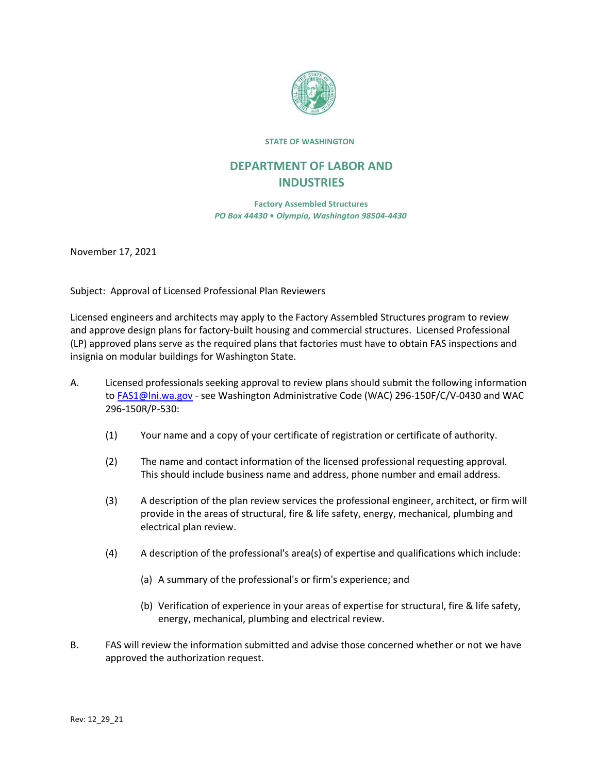

## **STATE OF WASHINGTON**

## **DEPARTMENT OF LABOR AND INDUSTRIES**

**Factory Assembled Structures** *PO Box 44430* **•** *Olympia, Washington 98504-4430*

November 17, 2021

Subject: Approval of Licensed Professional Plan Reviewers

Licensed engineers and architects may apply to the Factory Assembled Structures program to review and approve design plans for factory-built housing and commercial structures. Licensed Professional (LP) approved plans serve as the required plans that factories must have to obtain FAS inspections and insignia on modular buildings for Washington State.

- A. Licensed professionals seeking approval to review plans should submit the following information to [FAS1@lni.wa.gov](mailto:FAS1@lni.wa.gov) - see Washington Administrative Code (WAC) 296-150F/C/V-0430 and WAC 296-150R/P-530:
	- (1) Your name and a copy of your certificate of registration or certificate of authority.
	- (2) The name and contact information of the licensed professional requesting approval. This should include business name and address, phone number and email address.
	- (3) A description of the plan review services the professional engineer, architect, or firm will provide in the areas of structural, fire & life safety, energy, mechanical, plumbing and electrical plan review.
	- (4) A description of the professional's area(s) of expertise and qualifications which include:
		- (a) A summary of the professional's or firm's experience; and
		- (b) Verification of experience in your areas of expertise for structural, fire & life safety, energy, mechanical, plumbing and electrical review.
- B. FAS will review the information submitted and advise those concerned whether or not we have approved the authorization request.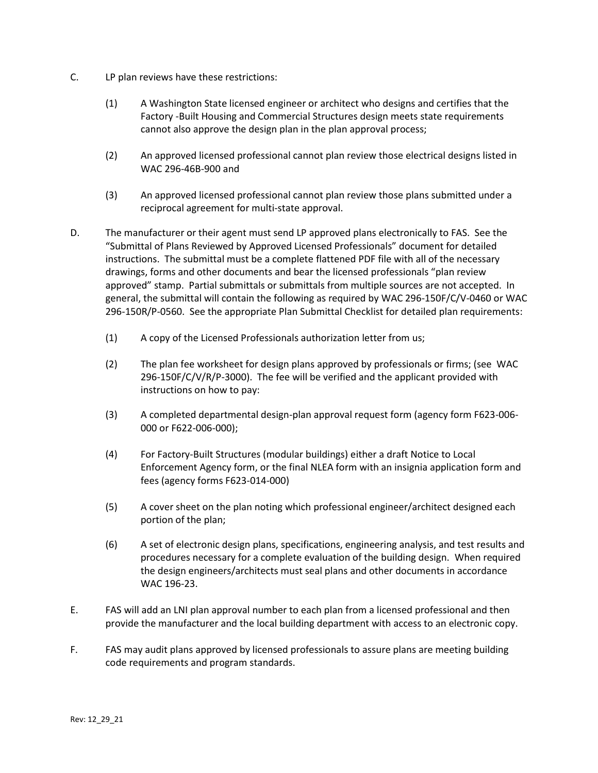- C. LP plan reviews have these restrictions:
	- (1) A Washington State licensed engineer or architect who designs and certifies that the Factory -Built Housing and Commercial Structures design meets state requirements cannot also approve the design plan in the plan approval process;
	- (2) An approved licensed professional cannot plan review those electrical designs listed in WAC 296-46B-900 and
	- (3) An approved licensed professional cannot plan review those plans submitted under a reciprocal agreement for multi-state approval.
- D. The manufacturer or their agent must send LP approved plans electronically to FAS. See the "Submittal of Plans Reviewed by Approved Licensed Professionals" document for detailed instructions. The submittal must be a complete flattened PDF file with all of the necessary drawings, forms and other documents and bear the licensed professionals "plan review approved" stamp. Partial submittals or submittals from multiple sources are not accepted. In general, the submittal will contain the following as required by WAC 296-150F/C/V-0460 or WAC 296-150R/P-0560. See the appropriate Plan Submittal Checklist for detailed plan requirements:
	- (1) A copy of the Licensed Professionals authorization letter from us;
	- (2) The plan fee worksheet for design plans approved by professionals or firms; (see WAC 296-150F/C/V/R/P-3000). The fee will be verified and the applicant provided with instructions on how to pay:
	- (3) A completed departmental design-plan approval request form (agency form F623-006- 000 or F622-006-000);
	- (4) For Factory-Built Structures (modular buildings) either a draft Notice to Local Enforcement Agency form, or the final NLEA form with an insignia application form and fees (agency forms F623-014-000)
	- (5) A cover sheet on the plan noting which professional engineer/architect designed each portion of the plan;
	- (6) A set of electronic design plans, specifications, engineering analysis, and test results and procedures necessary for a complete evaluation of the building design. When required the design engineers/architects must seal plans and other documents in accordance WAC 196-23.
- E. FAS will add an LNI plan approval number to each plan from a licensed professional and then provide the manufacturer and the local building department with access to an electronic copy.
- F. FAS may audit plans approved by licensed professionals to assure plans are meeting building code requirements and program standards.